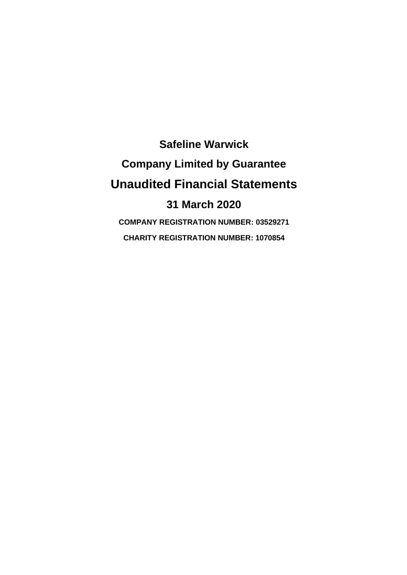**Safeline Warwick Company Limited by Guarantee Unaudited Financial Statements 31 March 2020 COMPANY REGISTRATION NUMBER: 03529271 CHARITY REGISTRATION NUMBER: 1070854**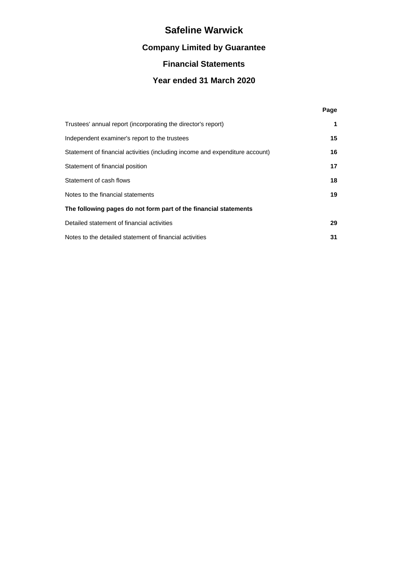# **Company Limited by Guarantee**

## **Financial Statements**

## **Year ended 31 March 2020**

**Page**

| Trustees' annual report (incorporating the director's report)                | 1  |
|------------------------------------------------------------------------------|----|
| Independent examiner's report to the trustees                                | 15 |
| Statement of financial activities (including income and expenditure account) | 16 |
| Statement of financial position                                              | 17 |
| Statement of cash flows                                                      | 18 |
| Notes to the financial statements                                            | 19 |
| The following pages do not form part of the financial statements             |    |
| Detailed statement of financial activities                                   | 29 |
| Notes to the detailed statement of financial activities                      | 31 |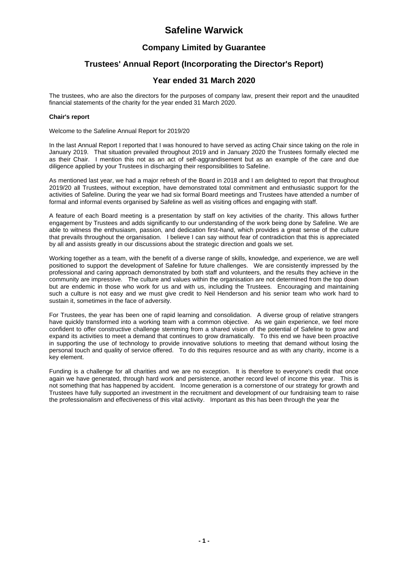### **Company Limited by Guarantee**

### **Trustees' Annual Report (Incorporating the Director's Report)**

### **Year ended 31 March 2020**

The trustees, who are also the directors for the purposes of company law, present their report and the unaudited financial statements of the charity for the year ended 31 March 2020.

#### **Chair's report**

Welcome to the Safeline Annual Report for 2019/20

In the last Annual Report I reported that I was honoured to have served as acting Chair since taking on the role in January 2019. That situation prevailed throughout 2019 and in January 2020 the Trustees formally elected me as their Chair. I mention this not as an act of self-aggrandisement but as an example of the care and due diligence applied by your Trustees in discharging their responsibilities to Safeline.

As mentioned last year, we had a major refresh of the Board in 2018 and I am delighted to report that throughout 2019/20 all Trustees, without exception, have demonstrated total commitment and enthusiastic support for the activities of Safeline. During the year we had six formal Board meetings and Trustees have attended a number of formal and informal events organised by Safeline as well as visiting offices and engaging with staff.

A feature of each Board meeting is a presentation by staff on key activities of the charity. This allows further engagement by Trustees and adds significantly to our understanding of the work being done by Safeline. We are able to witness the enthusiasm, passion, and dedication first-hand, which provides a great sense of the culture that prevails throughout the organisation. I believe I can say without fear of contradiction that this is appreciated by all and assists greatly in our discussions about the strategic direction and goals we set.

Working together as a team, with the benefit of a diverse range of skills, knowledge, and experience, we are well positioned to support the development of Safeline for future challenges. We are consistently impressed by the professional and caring approach demonstrated by both staff and volunteers, and the results they achieve in the community are impressive. The culture and values within the organisation are not determined from the top down but are endemic in those who work for us and with us, including the Trustees. Encouraging and maintaining such a culture is not easy and we must give credit to Neil Henderson and his senior team who work hard to sustain it, sometimes in the face of adversity.

For Trustees, the year has been one of rapid learning and consolidation. A diverse group of relative strangers have quickly transformed into a working team with a common objective. As we gain experience, we feel more confident to offer constructive challenge stemming from a shared vision of the potential of Safeline to grow and expand its activities to meet a demand that continues to grow dramatically. To this end we have been proactive in supporting the use of technology to provide innovative solutions to meeting that demand without losing the personal touch and quality of service offered. To do this requires resource and as with any charity, income is a key element.

Funding is a challenge for all charities and we are no exception. It is therefore to everyone's credit that once again we have generated, through hard work and persistence, another record level of income this year. This is not something that has happened by accident. Income generation is a cornerstone of our strategy for growth and Trustees have fully supported an investment in the recruitment and development of our fundraising team to raise the professionalism and effectiveness of this vital activity. Important as this has been through the year the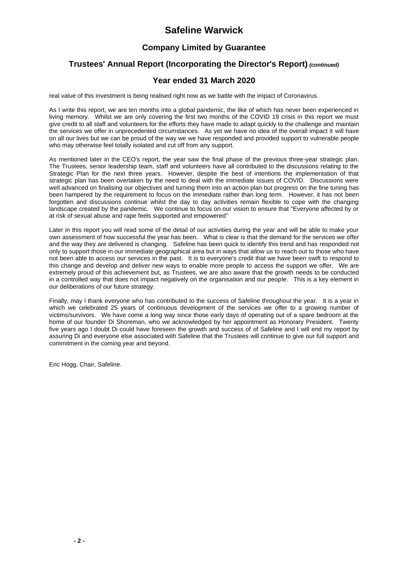## **Company Limited by Guarantee**

### **Trustees' Annual Report (Incorporating the Director's Report)** *(continued)*

### **Year ended 31 March 2020**

real value of this investment is being realised right now as we battle with the impact of Coronavirus.

As I write this report, we are ten months into a global pandemic, the like of which has never been experienced in living memory. Whilst we are only covering the first two months of the COVID 19 crisis in this report we must give credit to all staff and volunteers for the efforts they have made to adapt quickly to the challenge and maintain the services we offer in unprecedented circumstances. As yet we have no idea of the overall impact it will have on all our lives but we can be proud of the way we we have responded and provided support to vulnerable people who may otherwise feel totally isolated and cut off from any support.

As mentioned later in the CEO's report, the year saw the final phase of the previous three-year strategic plan. The Trustees, senior leadership team, staff and volunteers have all contributed to the discussions relating to the Strategic Plan for the next three years. However, despite the best of intentions the implementation of that strategic plan has been overtaken by the need to deal with the immediate issues of COVID. Discussions were well advanced on finalising our objectives and turning them into an action plan but progress on the fine tuning has been hampered by the requirement to focus on the immediate rather than long term. However, it has not been forgotten and discussions continue whilst the day to day activities remain flexible to cope with the changing landscape created by the pandemic. We continue to focus on our vision to ensure that ''Everyone affected by or at risk of sexual abuse and rape feels supported and empowered''

Later in this report you will read some of the detail of our activities during the year and will be able to make your own assessment of how successful the year has been. What is clear is that the demand for the services we offer and the way they are delivered is changing. Safeline has been quick to identify this trend and has responded not only to support those in our immediate geographical area but in ways that allow us to reach out to those who have not been able to access our services in the past. It is to everyone's credit that we have been swift to respond to this change and develop and deliver new ways to enable more people to access the support we offer. We are extremely proud of this achievement but, as Trustees, we are also aware that the growth needs to be conducted in a controlled way that does not impact negatively on the organisation and our people. This is a key element in our deliberations of our future strategy.

Finally, may I thank everyone who has contributed to the success of Safeline throughout the year. It is a year in which we celebrated 25 years of continuous development of the services we offer to a growing number of victims/survivors. We have come a long way since those early days of operating out of a spare bedroom at the home of our founder Di Shoreman, who we acknowledged by her appointment as Honorary President. Twenty five years ago I doubt Di could have foreseen the growth and success of of Safeline and I will end my report by assuring Di and everyone else associated with Safeline that the Trustees will continue to give our full support and commitment in the coming year and beyond.

Eric Hogg, Chair, Safeline.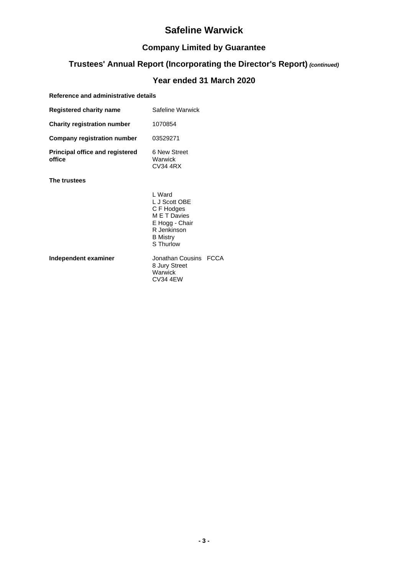# **Company Limited by Guarantee**

# **Trustees' Annual Report (Incorporating the Director's Report)** *(continued)*

## **Year ended 31 March 2020**

### **Reference and administrative details**

| Safeline Warwick                                                                                                       |                  |
|------------------------------------------------------------------------------------------------------------------------|------------------|
| 1070854                                                                                                                |                  |
| 03529271                                                                                                               |                  |
| 6 New Street<br>Warwick<br>CV34 4RX                                                                                    |                  |
|                                                                                                                        |                  |
| L Ward<br>L J Scott OBE<br>C F Hodges<br>M E T Davies<br>E Hogg - Chair<br>R Jenkinson<br><b>B</b> Mistry<br>S Thurlow |                  |
| 8 Jury Street<br>Warwick<br><b>CV34 4EW</b>                                                                            | <b>FCCA</b>      |
|                                                                                                                        | Jonathan Cousins |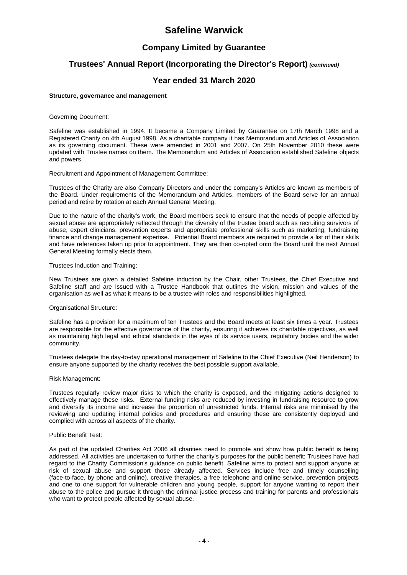### **Company Limited by Guarantee**

### **Trustees' Annual Report (Incorporating the Director's Report)** *(continued)*

#### **Year ended 31 March 2020**

#### **Structure, governance and management**

Governing Document:

Safeline was established in 1994. It became a Company Limited by Guarantee on 17th March 1998 and a Registered Charity on 4th August 1998. As a charitable company it has Memorandum and Articles of Association as its governing document. These were amended in 2001 and 2007. On 25th November 2010 these were updated with Trustee names on them. The Memorandum and Articles of Association established Safeline objects and powers.

Recruitment and Appointment of Management Committee:

Trustees of the Charity are also Company Directors and under the company's Articles are known as members of the Board. Under requirements of the Memorandum and Articles, members of the Board serve for an annual period and retire by rotation at each Annual General Meeting.

Due to the nature of the charity's work, the Board members seek to ensure that the needs of people affected by sexual abuse are appropriately reflected through the diversity of the trustee board such as recruiting survivors of abuse, expert clinicians, prevention experts and appropriate professional skills such as marketing, fundraising finance and change management expertise. Potential Board members are required to provide a list of their skills and have references taken up prior to appointment. They are then co-opted onto the Board until the next Annual General Meeting formally elects them.

#### Trustees Induction and Training:

New Trustees are given a detailed Safeline induction by the Chair, other Trustees, the Chief Executive and Safeline staff and are issued with a Trustee Handbook that outlines the vision, mission and values of the organisation as well as what it means to be a trustee with roles and responsibilities highlighted.

#### Organisational Structure:

Safeline has a provision for a maximum of ten Trustees and the Board meets at least six times a year. Trustees are responsible for the effective governance of the charity, ensuring it achieves its charitable objectives, as well as maintaining high legal and ethical standards in the eyes of its service users, regulatory bodies and the wider community.

Trustees delegate the day-to-day operational management of Safeline to the Chief Executive (Neil Henderson) to ensure anyone supported by the charity receives the best possible support available.

#### Risk Management:

Trustees regularly review major risks to which the charity is exposed, and the mitigating actions designed to effectively manage these risks. External funding risks are reduced by investing in fundraising resource to grow and diversify its income and increase the proportion of unrestricted funds. Internal risks are minimised by the reviewing and updating internal policies and procedures and ensuring these are consistently deployed and complied with across all aspects of the charity.

#### Public Benefit Test:

As part of the updated Charities Act 2006 all charities need to promote and show how public benefit is being addressed. All activities are undertaken to further the charity's purposes for the public benefit; Trustees have had regard to the Charity Commission's guidance on public benefit. Safeline aims to protect and support anyone at risk of sexual abuse and support those already affected. Services include free and timely counselling (face-to-face, by phone and online), creative therapies, a free telephone and online service, prevention projects and one to one support for vulnerable children and young people, support for anyone wanting to report their abuse to the police and pursue it through the criminal justice process and training for parents and professionals who want to protect people affected by sexual abuse.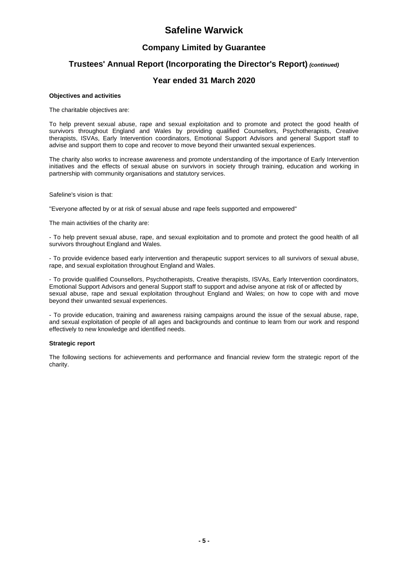### **Company Limited by Guarantee**

### **Trustees' Annual Report (Incorporating the Director's Report)** *(continued)*

#### **Year ended 31 March 2020**

#### **Objectives and activities**

The charitable objectives are:

To help prevent sexual abuse, rape and sexual exploitation and to promote and protect the good health of survivors throughout England and Wales by providing qualified Counsellors, Psychotherapists, Creative therapists, ISVAs, Early Intervention coordinators, Emotional Support Advisors and general Support staff to advise and support them to cope and recover to move beyond their unwanted sexual experiences.

The charity also works to increase awareness and promote understanding of the importance of Early Intervention initiatives and the effects of sexual abuse on survivors in society through training, education and working in partnership with community organisations and statutory services.

Safeline's vision is that:

''Everyone affected by or at risk of sexual abuse and rape feels supported and empowered''

The main activities of the charity are:

- To help prevent sexual abuse, rape, and sexual exploitation and to promote and protect the good health of all survivors throughout England and Wales.

- To provide evidence based early intervention and therapeutic support services to all survivors of sexual abuse, rape, and sexual exploitation throughout England and Wales.

- To provide qualified Counsellors, Psychotherapists, Creative therapists, ISVAs, Early Intervention coordinators, Emotional Support Advisors and general Support staff to support and advise anyone at risk of or affected by sexual abuse, rape and sexual exploitation throughout England and Wales; on how to cope with and move beyond their unwanted sexual experiences.

- To provide education, training and awareness raising campaigns around the issue of the sexual abuse, rape, and sexual exploitation of people of all ages and backgrounds and continue to learn from our work and respond effectively to new knowledge and identified needs.

#### **Strategic report**

The following sections for achievements and performance and financial review form the strategic report of the charity.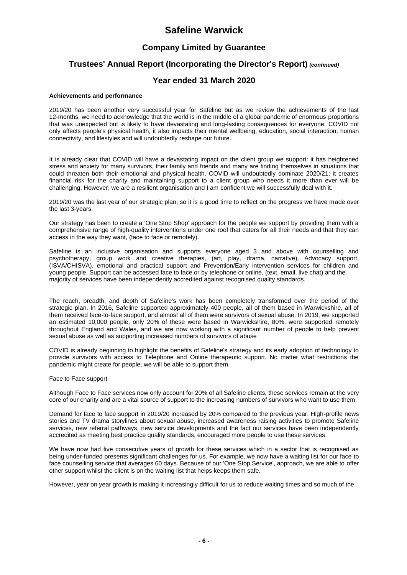### **Company Limited by Guarantee**

### **Trustees' Annual Report (Incorporating the Director's Report)** *(continued)*

#### **Year ended 31 March 2020**

#### **Achievements and performance**

2019/20 has been another very successful year for Safeline but as we review the achievements of the last 12-months, we need to acknowledge that the world is in the middle of a global pandemic of enormous proportions that was unexpected but is likely to have devastating and long-lasting consequences for everyone. COVID not only affects people's physical health, it also impacts their mental wellbeing, education, social interaction, human connectivity, and lifestyles and will undoubtedly reshape our future.

It is already clear that COVID will have a devastating impact on the client group we support: it has heightened stress and anxiety for many survivors, their family and friends and many are finding themselves in situations that could threaten both their emotional and physical health. COVID will undoubtedly dominate 2020/21; it creates financial risk for the charity and maintaining support to a client group who needs it more than ever will be challenging. However, we are a resilient organisation and I am confident we will successfully deal with it.

2019/20 was the last year of our strategic plan, so it is a good time to reflect on the progress we have made over the last 3-years.

Our strategy has been to create a 'One Stop Shop' approach for the people we support by providing them with a comprehensive range of high-quality interventions under one roof that caters for all their needs and that they can access in the way they want, (face to face or remotely).

Safeline is an inclusive organisation and supports everyone aged 3 and above with counselling and psychotherapy, group work and creative therapies, (art, play, drama, narrative), Advocacy support, (ISVA/CHISVA), emotional and practical support and Prevention/Early intervention services for children and young people. Support can be accessed face to face or by telephone or online, (text, email, live chat) and the majority of services have been independently accredited against recognised quality standards.

The reach, breadth, and depth of Safeline's work has been completely transformed over the period of the strategic plan. In 2016, Safeline supported approximately 400 people, all of them based in Warwickshire, all of them received face-to-face support, and almost all of them were survivors of sexual abuse. In 2019, we supported an estimated 10,000 people, only 20% of these were based in Warwickshire, 80%, were supported remotely throughout England and Wales, and we are now working with a significant number of people to help prevent sexual abuse as well as supporting increased numbers of survivors of abuse

COVID is already beginning to highlight the benefits of Safeline's strategy and its early adoption of technology to provide survivors with access to Telephone and Online therapeutic support. No matter what restrictions the pandemic might create for people, we will be able to support them.

Face to Face support

Although Face to Face services now only account for 20% of all Safeline clients, these services remain at the very core of our charity and are a vital source of support to the increasing numbers of survivors who want to use them.

Demand for face to face support in 2019/20 increased by 20% compared to the previous year. High-profile news stories and TV drama storylines about sexual abuse, increased awareness raising activities to promote Safeline services, new referral pathways, new service developments and the fact our services have been independently accredited as meeting best practice quality standards, encouraged more people to use these services.

We have now had five consecutive years of growth for these services which in a sector that is recognised as being under-funded presents significant challenges for us. For example, we now have a waiting list for our face to face counselling service that averages 60 days. Because of our 'One Stop Service', approach, we are able to offer other support whilst the client is on the waiting list that helps keeps them safe.

However, year on year growth is making it increasingly difficult for us to reduce waiting times and so much of the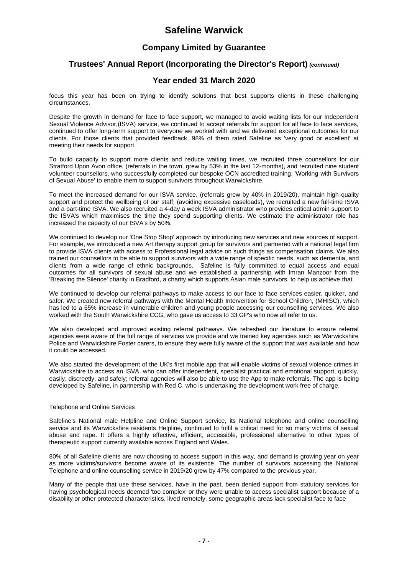### **Company Limited by Guarantee**

### **Trustees' Annual Report (Incorporating the Director's Report)** *(continued)*

#### **Year ended 31 March 2020**

focus this year has been on trying to identify solutions that best supports clients in these challenging circumstances.

Despite the growth in demand for face to face support, we managed to avoid waiting lists for our Independent Sexual Violence Advisor,(ISVA) service, we continued to accept referrals for support for all face to face services, continued to offer long-term support to everyone we worked with and we delivered exceptional outcomes for our clients. For those clients that provided feedback, 98% of them rated Safeline as 'very good or excellent' at meeting their needs for support.

To build capacity to support more clients and reduce waiting times, we recruited three counsellors for our Stratford Upon Avon office, (referrals in the town, grew by 53% in the last 12-months), and recruited nine student volunteer counsellors, who successfully completed our bespoke OCN accredited training, 'Working with Survivors of Sexual Abuse' to enable them to support survivors throughout Warwickshire.

To meet the increased demand for our ISVA service, (referrals grew by 40% in 2019/20), maintain high-quality support and protect the wellbeing of our staff, (avoiding excessive caseloads), we recruited a new full-time ISVA and a part-time ISVA. We also recruited a 4-day a week ISVA administrator who provides critical admin support to the ISVA's which maximises the time they spend supporting clients. We estimate the administrator role has increased the capacity of our ISVA's by 50%.

We continued to develop our 'One Stop Shop' approach by introducing new services and new sources of support. For example, we introduced a new Art therapy support group for survivors and partnered with a national legal firm to provide ISVA clients with access to Professional legal advice on such things as compensation claims. We also trained our counsellors to be able to support survivors with a wide range of specific needs, such as dementia, and clients from a wide range of ethnic backgrounds. Safeline is fully committed to equal access and equal outcomes for all survivors of sexual abuse and we established a partnership with Imran Manzoor from the 'Breaking the Silence' charity in Bradford, a charity which supports Asian male survivors, to help us achieve that.

We continued to develop our referral pathways to make access to our face to face services easier, quicker, and safer. We created new referral pathways with the Mental Health Intervention for School Children, (MHISC), which has led to a 65% increase in vulnerable children and young people accessing our counselling services. We also worked with the South Warwickshire CCG, who gave us access to 33 GP's who now all refer to us.

We also developed and improved existing referral pathways. We refreshed our literature to ensure referral agencies were aware of the full range of services we provide and we trained key agencies such as Warwickshire Police and Warwickshire Foster carers, to ensure they were fully aware of the support that was available and how it could be accessed.

We also started the development of the UK's first mobile app that will enable victims of sexual violence crimes in Warwickshire to access an ISVA, who can offer independent, specialist practical and emotional support, quickly, easily, discreetly, and safely; referral agencies will also be able to use the App to make referrals. The app is being developed by Safeline, in partnership with Red C, who is undertaking the development work free of charge.

#### Telephone and Online Services

Safeline's National male Helpline and Online Support service, its National telephone and online counselling service and its Warwickshire residents Helpline, continued to fulfil a critical need for so many victims of sexual abuse and rape. It offers a highly effective, efficient, accessible, professional alternative to other types of therapeutic support currently available across England and Wales.

80% of all Safeline clients are now choosing to access support in this way, and demand is growing year on year as more victims/survivors become aware of its existence. The number of survivors accessing the National Telephone and online counselling service in 2019/20 grew by 47% compared to the previous year.

Many of the people that use these services, have in the past, been denied support from statutory services for having psychological needs deemed 'too complex' or they were unable to access specialist support because of a disability or other protected characteristics, lived remotely, some geographic areas lack specialist face to face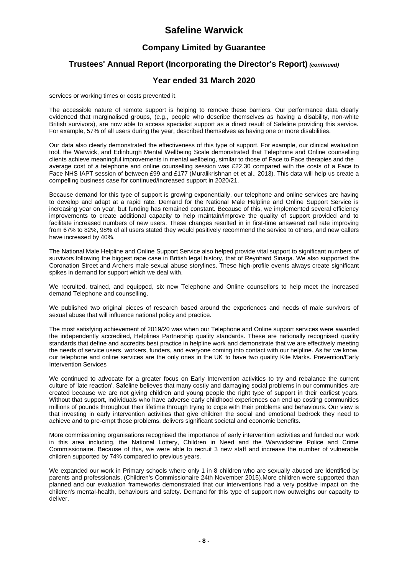## **Company Limited by Guarantee**

## **Trustees' Annual Report (Incorporating the Director's Report)** *(continued)*

### **Year ended 31 March 2020**

services or working times or costs prevented it.

The accessible nature of remote support is helping to remove these barriers. Our performance data clearly evidenced that marginalised groups, (e.g., people who describe themselves as having a disability, non-white British survivors), are now able to access specialist support as a direct result of Safeline providing this service. For example, 57% of all users during the year, described themselves as having one or more disabilities.

Our data also clearly demonstrated the effectiveness of this type of support. For example, our clinical evaluation tool, the Warwick, and Edinburgh Mental Wellbeing Scale demonstrated that Telephone and Online counselling clients achieve meaningful improvements in mental wellbeing, similar to those of Face to Face therapies and the average cost of a telephone and online counselling session was £22.30 compared with the costs of a Face to Face NHS IAPT session of between £99 and £177 (Muralikrishnan et et al., 2013). This data will help us create a compelling business case for continued/increased support in 2020/21.

Because demand for this type of support is growing exponentially, our telephone and online services are having to develop and adapt at a rapid rate. Demand for the National Male Helpline and Online Support Service is increasing year on year, but funding has remained constant. Because of this, we implemented several efficiency improvements to create additional capacity to help maintain/improve the quality of support provided and to facilitate increased numbers of new users. These changes resulted in in first-time answered call rate improving from 67% to 82%, 98% of all users stated they would positively recommend the service to others, and new callers have increased by 40%.

The National Male Helpline and Online Support Service also helped provide vital support to significant numbers of survivors following the biggest rape case in British legal history, that of Reynhard Sinaga. We also supported the Coronation Street and Archers male sexual abuse storylines. These high-profile events always create significant spikes in demand for support which we deal with.

We recruited, trained, and equipped, six new Telephone and Online counsellors to help meet the increased demand Telephone and counselling.

We published two original pieces of research based around the experiences and needs of male survivors of sexual abuse that will influence national policy and practice.

The most satisfying achievement of 2019/20 was when our Telephone and Online support services were awarded the independently accredited, Helplines Partnership quality standards. These are nationally recognised quality standards that define and accredits best practice in helpline work and demonstrate that we are effectively meeting the needs of service users, workers, funders, and everyone coming into contact with our helpline. As far we know, our telephone and online services are the only ones in the UK to have two quality Kite Marks. Prevention/Early Intervention Services

We continued to advocate for a greater focus on Early Intervention activities to try and rebalance the current culture of 'late reaction'. Safeline believes that many costly and damaging social problems in our communities are created because we are not giving children and young people the right type of support in their earliest years. Without that support, individuals who have adverse early childhood experiences can end up costing communities millions of pounds throughout their lifetime through trying to cope with their problems and behaviours. Our view is that investing in early intervention activities that give children the social and emotional bedrock they need to achieve and to pre-empt those problems, delivers significant societal and economic benefits.

More commissioning organisations recognised the importance of early intervention activities and funded our work in this area including, the National Lottery, Children in Need and the Warwickshire Police and Crime Commissionaire. Because of this, we were able to recruit 3 new staff and increase the number of vulnerable children supported by 74% compared to previous years.

We expanded our work in Primary schools where only 1 in 8 children who are sexually abused are identified by parents and professionals, (Children's Commissionaire 24th November 2015).More children were supported than planned and our evaluation frameworks demonstrated that our interventions had a very positive impact on the children's mental-health, behaviours and safety. Demand for this type of support now outweighs our capacity to deliver.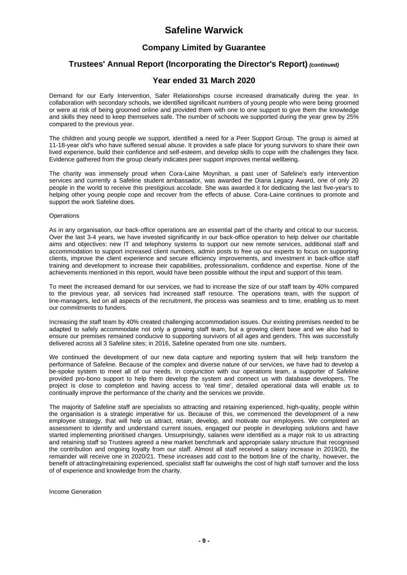### **Company Limited by Guarantee**

### **Trustees' Annual Report (Incorporating the Director's Report)** *(continued)*

#### **Year ended 31 March 2020**

Demand for our Early Intervention, Safer Relationships course increased dramatically during the year. In collaboration with secondary schools, we identified significant numbers of young people who were being groomed or were at risk of being groomed online and provided them with one to one support to give them the knowledge and skills they need to keep themselves safe. The number of schools we supported during the year grew by 25% compared to the previous year.

The children and young people we support, identified a need for a Peer Support Group. The group is aimed at 11-18-year old's who have suffered sexual abuse. It provides a safe place for young survivors to share their own lived experience, build their confidence and self-esteem, and develop skills to cope with the challenges they face. Evidence gathered from the group clearly indicates peer support improves mental wellbeing.

The charity was immensely proud when Cora-Laine Moynihan, a past user of Safeline's early intervention services and currently a Safeline student ambassador, was awarded the Diana Legacy Award, one of only 20 people in the world to receive this prestigious accolade. She was awarded it for dedicating the last five-year's to helping other young people cope and recover from the effects of abuse. Cora-Laine continues to promote and support the work Safeline does.

#### **Operations**

As in any organisation, our back-office operations are an essential part of the charity and critical to our success. Over the last 3-4 years, we have invested significantly in our back-office operation to help deliver our charitable aims and objectives: new IT and telephony systems to support our new remote services, additional staff and accommodation to support increased client numbers, admin posts to free up our experts to focus on supporting clients, improve the client experience and secure efficiency improvements, and investment in back-office staff training and development to increase their capabilities, professionalism, confidence and expertise. None of the achievements mentioned in this report, would have been possible without the input and support of this team.

To meet the increased demand for our services, we had to increase the size of our staff team by 40% compared to the previous year, all services had increased staff resource. The operations team, with the support of line-managers, led on all aspects of the recruitment, the process was seamless and to time, enabling us to meet our commitments to funders.

Increasing the staff team by 40% created challenging accommodation issues. Our existing premises needed to be adapted to safely accommodate not only a growing staff team, but a growing client base and we also had to ensure our premises remained conducive to supporting survivors of all ages and genders. This was successfully delivered across all 3 Safeline sites; in 2016, Safeline operated from one site. numbers.

We continued the development of our new data capture and reporting system that will help transform the performance of Safeline. Because of the complex and diverse nature of our services, we have had to develop a be-spoke system to meet all of our needs. In conjunction with our operations team, a supporter of Safeline provided pro-bono support to help them develop the system and connect us with database developers. The project is close to completion and having access to 'real time', detailed operational data will enable us to continually improve the performance of the charity and the services we provide.

The majority of Safeline staff are specialists so attracting and retaining experienced, high-quality, people within the organisation is a strategic imperative for us. Because of this, we commenced the development of a new employee strategy, that will help us attract, retain, develop, and motivate our employees. We completed an assessment to identify and understand current issues, engaged our people in developing solutions and have started implementing prioritised changes. Unsurprisingly, salaries were identified as a major risk to us attracting and retaining staff so Trustees agreed a new market benchmark and appropriate salary structure that recognised the contribution and ongoing loyalty from our staff. Almost all staff received a salary increase in 2019/20, the remainder will receive one in 2020/21. These increases add cost to the bottom line of the charity, however, the benefit of attracting/retaining experienced, specialist staff far outweighs the cost of high staff turnover and the loss of of experience and knowledge from the charity.

Income Generation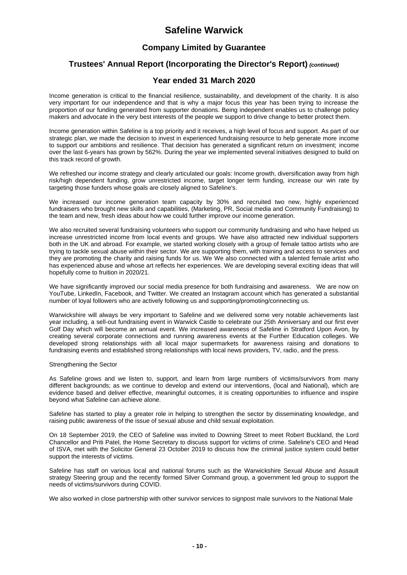### **Company Limited by Guarantee**

### **Trustees' Annual Report (Incorporating the Director's Report)** *(continued)*

### **Year ended 31 March 2020**

Income generation is critical to the financial resilience, sustainability, and development of the charity. It is also very important for our independence and that is why a major focus this year has been trying to increase the proportion of our funding generated from supporter donations. Being independent enables us to challenge policy makers and advocate in the very best interests of the people we support to drive change to better protect them.

Income generation within Safeline is a top priority and it receives, a high level of focus and support. As part of our strategic plan, we made the decision to invest in experienced fundraising resource to help generate more income to support our ambitions and resilience. That decision has generated a significant return on investment; income over the last 6-years has grown by 562%. During the year we implemented several initiatives designed to build on this track record of growth.

We refreshed our income strategy and clearly articulated our goals: Income growth, diversification away from high risk/high dependent funding, grow unrestricted income, target longer term funding, increase our win rate by targeting those funders whose goals are closely aligned to Safeline's.

We increased our income generation team capacity by 30% and recruited two new, highly experienced fundraisers who brought new skills and capabilities, (Marketing, PR, Social media and Community Fundraising) to the team and new, fresh ideas about how we could further improve our income generation.

We also recruited several fundraising volunteers who support our community fundraising and who have helped us increase unrestricted income from local events and groups. We have also attracted new individual supporters both in the UK and abroad. For example, we started working closely with a group of female tattoo artists who are trying to tackle sexual abuse within their sector. We are supporting them, with training and access to services and they are promoting the charity and raising funds for us. We We also connected with a talented female artist who has experienced abuse and whose art reflects her experiences. We are developing several exciting ideas that will hopefully come to fruition in 2020/21.

We have significantly improved our social media presence for both fundraising and awareness. We are now on YouTube, LinkedIn, Facebook, and Twitter. We created an Instagram account which has generated a substantial number of loyal followers who are actively following us and supporting/promoting/connecting us.

Warwickshire will always be very important to Safeline and we delivered some very notable achievements last year including, a sell-out fundraising event in Warwick Castle to celebrate our 25th Anniversary and our first ever Golf Day which will become an annual event. We increased awareness of Safeline in Stratford Upon Avon, by creating several corporate connections and running awareness events at the Further Education colleges. We developed strong relationships with all local major supermarkets for awareness raising and donations to fundraising events and established strong relationships with local news providers, TV, radio, and the press.

#### Strengthening the Sector

As Safeline grows and we listen to, support, and learn from large numbers of victims/survivors from many different backgrounds; as we continue to develop and extend our interventions, (local and National), which are evidence based and deliver effective, meaningful outcomes, it is creating opportunities to influence and inspire beyond what Safeline can achieve alone.

Safeline has started to play a greater role in helping to strengthen the sector by disseminating knowledge, and raising public awareness of the issue of sexual abuse and child sexual exploitation.

On 18 September 2019, the CEO of Safeline was invited to Downing Street to meet Robert Buckland, the Lord Chancellor and Priti Patel, the Home Secretary to discuss support for victims of crime. Safeline's CEO and Head of ISVA, met with the Solicitor General 23 October 2019 to discuss how the criminal justice system could better support the interests of victims.

Safeline has staff on various local and national forums such as the Warwickshire Sexual Abuse and Assault strategy Steering group and the recently formed Silver Command group, a government led group to support the needs of victims/survivors during COVID.

We also worked in close partnership with other survivor services to signpost male survivors to the National Male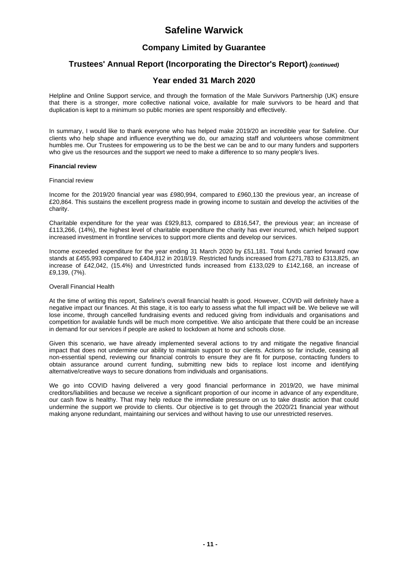### **Company Limited by Guarantee**

### **Trustees' Annual Report (Incorporating the Director's Report)** *(continued)*

#### **Year ended 31 March 2020**

Helpline and Online Support service, and through the formation of the Male Survivors Partnership (UK) ensure that there is a stronger, more collective national voice, available for male survivors to be heard and that duplication is kept to a minimum so public monies are spent responsibly and effectively.

In summary, I would like to thank everyone who has helped make 2019/20 an incredible year for Safeline. Our clients who help shape and influence everything we do, our amazing staff and volunteers whose commitment humbles me. Our Trustees for empowering us to be the best we can be and to our many funders and supporters who give us the resources and the support we need to make a difference to so many people's lives.

#### **Financial review**

#### Financial review

Income for the 2019/20 financial year was £980,994, compared to £960,130 the previous year, an increase of £20,864. This sustains the excellent progress made in growing income to sustain and develop the activities of the charity.

Charitable expenditure for the year was £929,813, compared to £816,547, the previous year; an increase of £113,266, (14%), the highest level of charitable expenditure the charity has ever incurred, which helped support increased investment in frontline services to support more clients and develop our services.

Income exceeded expenditure for the year ending 31 March 2020 by £51,181. Total funds carried forward now stands at £455,993 compared to £404,812 in 2018/19. Restricted funds increased from £271,783 to £313,825, an increase of £42,042, (15.4%) and Unrestricted funds increased from £133,029 to £142,168, an increase of £9,139, (7%).

#### Overall Financial Health

At the time of writing this report, Safeline's overall financial health is good. However, COVID will definitely have a negative impact our finances. At this stage, it is too early to assess what the full impact will be. We believe we will lose income, through cancelled fundraising events and reduced giving from individuals and organisations and competition for available funds will be much more competitive. We also anticipate that there could be an increase in demand for our services if people are asked to lockdown at home and schools close.

Given this scenario, we have already implemented several actions to try and mitigate the negative financial impact that does not undermine our ability to maintain support to our clients. Actions so far include, ceasing all non-essential spend, reviewing our financial controls to ensure they are fit for purpose, contacting funders to obtain assurance around current funding, submitting new bids to replace lost income and identifying alternative/creative ways to secure donations from individuals and organisations.

We go into COVID having delivered a very good financial performance in 2019/20, we have minimal creditors/liabilities and because we receive a significant proportion of our income in advance of any expenditure, our cash flow is healthy. That may help reduce the immediate pressure on us to take drastic action that could undermine the support we provide to clients. Our objective is to get through the 2020/21 financial year without making anyone redundant, maintaining our services and without having to use our unrestricted reserves.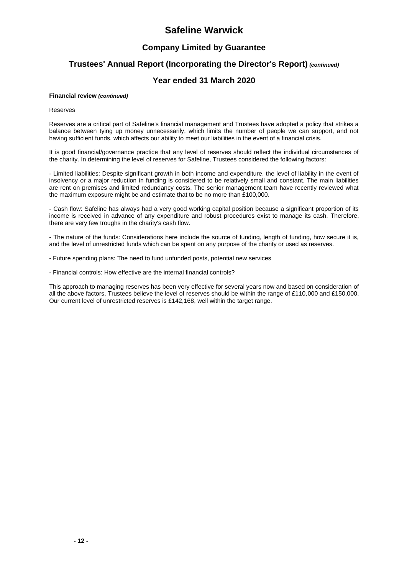### **Company Limited by Guarantee**

### **Trustees' Annual Report (Incorporating the Director's Report)** *(continued)*

#### **Year ended 31 March 2020**

#### **Financial review** *(continued)*

#### Reserves

Reserves are a critical part of Safeline's financial management and Trustees have adopted a policy that strikes a balance between tying up money unnecessarily, which limits the number of people we can support, and not having sufficient funds, which affects our ability to meet our liabilities in the event of a financial crisis.

It is good financial/governance practice that any level of reserves should reflect the individual circumstances of the charity. In determining the level of reserves for Safeline, Trustees considered the following factors:

- Limited liabilities: Despite significant growth in both income and expenditure, the level of liability in the event of insolvency or a major reduction in funding is considered to be relatively small and constant. The main liabilities are rent on premises and limited redundancy costs. The senior management team have recently reviewed what the maximum exposure might be and estimate that to be no more than £100,000.

- Cash flow: Safeline has always had a very good working capital position because a significant proportion of its income is received in advance of any expenditure and robust procedures exist to manage its cash. Therefore, there are very few troughs in the charity's cash flow.

- The nature of the funds: Considerations here include the source of funding, length of funding, how secure it is, and the level of unrestricted funds which can be spent on any purpose of the charity or used as reserves.

- Future spending plans: The need to fund unfunded posts, potential new services

- Financial controls: How effective are the internal financial controls?

This approach to managing reserves has been very effective for several years now and based on consideration of all the above factors, Trustees believe the level of reserves should be within the range of £110,000 and £150,000. Our current level of unrestricted reserves is £142,168, well within the target range.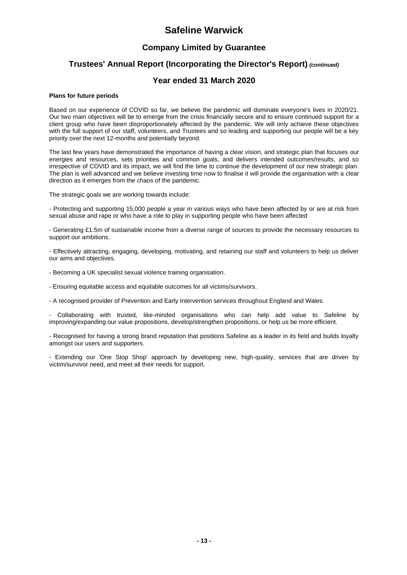## **Company Limited by Guarantee**

## **Trustees' Annual Report (Incorporating the Director's Report)** *(continued)*

### **Year ended 31 March 2020**

#### **Plans for future periods**

Based on our experience of COVID so far, we believe the pandemic will dominate everyone's lives in 2020/21. Our two main objectives will be to emerge from the crisis financially secure and to ensure continued support for a client group who have been disproportionately affected by the pandemic. We will only achieve these objectives with the full support of our staff, volunteers, and Trustees and so leading and supporting our people will be a key priority over the next 12-months and potentially beyond.

The last few years have demonstrated the importance of having a clear vision, and strategic plan that focuses our energies and resources, sets priorities and common goals, and delivers intended outcomes/results, and so irrespective of COVID and its impact, we will find the time to continue the development of our new strategic plan. The plan is well advanced and we believe investing time now to finalise it will provide the organisation with a clear direction as it emerges from the chaos of the pandemic.

The strategic goals we are working towards include:

- Protecting and supporting 15,000 people a year in various ways who have been affected by or are at risk from sexual abuse and rape or who have a role to play in supporting people who have been affected

- Generating £1.5m of sustainable income from a diverse range of sources to provide the necessary resources to support our ambitions.

- Effectively attracting, engaging, developing, motivating, and retaining our staff and volunteers to help us deliver our aims and objectives.

- Becoming a UK specialist sexual violence training organisation.

- Ensuring equitable access and equitable outcomes for all victims/survivors.
- A recognised provider of Prevention and Early Intervention services throughout England and Wales.

- Collaborating with trusted, like-minded organisations who can help add value to Safeline by improving/expanding our value propositions, develop/strengthen propositions, or help us be more efficient.

- Recognised for having a strong brand reputation that positions Safeline as a leader in its field and builds loyalty amongst our users and supporters.

- Extending our 'One Stop Shop' approach by developing new, high-quality, services that are driven by victim/survivor need, and meet all their needs for support.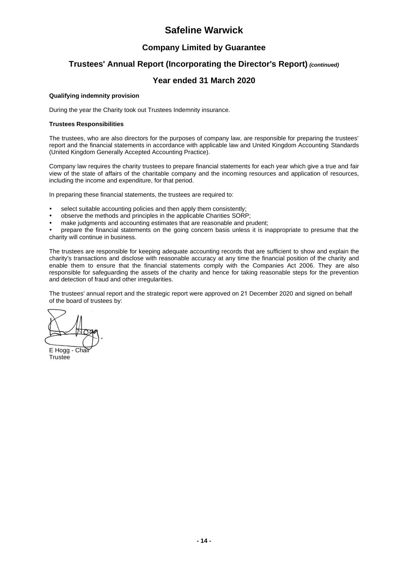## **Company Limited by Guarantee**

## **Trustees' Annual Report (Incorporating the Director's Report)** *(continued)*

### **Year ended 31 March 2020**

#### **Qualifying indemnity provision**

During the year the Charity took out Trustees Indemnity insurance.

#### **Trustees Responsibilities**

The trustees, who are also directors for the purposes of company law, are responsible for preparing the trustees' report and the financial statements in accordance with applicable law and United Kingdom Accounting Standards (United Kingdom Generally Accepted Accounting Practice).

Company law requires the charity trustees to prepare financial statements for each year which give a true and fair view of the state of affairs of the charitable company and the incoming resources and application of resources, including the income and expenditure, for that period.

In preparing these financial statements, the trustees are required to:

- select suitable accounting policies and then apply them consistently;
- observe the methods and principles in the applicable Charities SORP;
- make judgments and accounting estimates that are reasonable and prudent;

 prepare the financial statements on the going concern basis unless it is inappropriate to presume that the charity will continue in business.

The trustees are responsible for keeping adequate accounting records that are sufficient to show and explain the charity's transactions and disclose with reasonable accuracy at any time the financial position of the charity and enable them to ensure that the financial statements comply with the Companies Act 2006. They are also responsible for safeguarding the assets of the charity and hence for taking reasonable steps for the prevention and detection of fraud and other irregularities.

The trustees' annual report and the strategic report were approved on 21 December 2020 and signed on behalf of the board of trustees by:

E Hogg - Chair

**Trustee**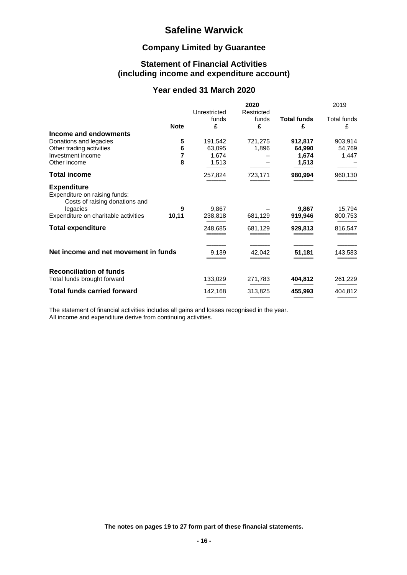## **Company Limited by Guarantee**

### **Statement of Financial Activities (including income and expenditure account)**

### **Year ended 31 March 2020**

|                                                                                       |             |                       | 2020       |                    | 2019                    |
|---------------------------------------------------------------------------------------|-------------|-----------------------|------------|--------------------|-------------------------|
|                                                                                       |             | Unrestricted<br>funds | Restricted | <b>Total funds</b> |                         |
|                                                                                       | <b>Note</b> | £                     | funds<br>£ | £                  | <b>Total funds</b><br>£ |
| Income and endowments                                                                 |             |                       |            |                    |                         |
| Donations and legacies                                                                | 5           | 191,542               | 721,275    | 912,817            | 903,914                 |
| Other trading activities                                                              | 6           | 63,095                | 1,896      | 64,990             | 54,769                  |
| Investment income                                                                     | 7           | 1,674                 |            | 1,674              | 1,447                   |
| Other income                                                                          | 8           | 1,513                 |            | 1,513              |                         |
| <b>Total income</b>                                                                   |             | 257,824               | 723,171    | 980,994            | 960,130                 |
| <b>Expenditure</b><br>Expenditure on raising funds:<br>Costs of raising donations and |             |                       |            |                    |                         |
| legacies                                                                              | 9           | 9,867                 |            | 9,867              | 15,794                  |
| Expenditure on charitable activities                                                  | 10,11       | 238,818               | 681,129    | 919,946            | 800,753                 |
| <b>Total expenditure</b>                                                              |             | 248,685               | 681,129    | 929,813            | 816,547                 |
| Net income and net movement in funds                                                  |             | 9,139                 | 42,042     | 51,181             | 143,583                 |
| <b>Reconciliation of funds</b>                                                        |             |                       |            |                    |                         |
| Total funds brought forward                                                           |             | 133,029               | 271,783    | 404,812            | 261,229                 |
| <b>Total funds carried forward</b>                                                    |             | 142,168               | 313,825    | 455,993            | 404,812                 |

The statement of financial activities includes all gains and losses recognised in the year. All income and expenditure derive from continuing activities.

**The notes on pages 19 to 27 form part of these financial statements.**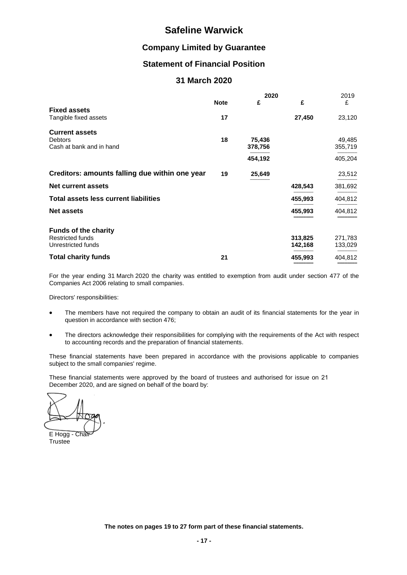### **Company Limited by Guarantee**

### **Statement of Financial Position**

### **31 March 2020**

|                                                                     |             | 2020              |         | 2019              |  |
|---------------------------------------------------------------------|-------------|-------------------|---------|-------------------|--|
|                                                                     | <b>Note</b> | £                 | £       | £                 |  |
| <b>Fixed assets</b><br>Tangible fixed assets                        | 17          |                   | 27,450  | 23,120            |  |
| <b>Current assets</b><br><b>Debtors</b><br>Cash at bank and in hand | 18          | 75,436<br>378,756 |         | 49,485<br>355,719 |  |
|                                                                     |             | 454,192           |         | 405,204           |  |
| Creditors: amounts falling due within one year                      | 19          | 25,649            |         | 23,512            |  |
| Net current assets                                                  |             |                   | 428,543 | 381,692           |  |
| <b>Total assets less current liabilities</b>                        |             |                   | 455,993 | 404,812           |  |
| <b>Net assets</b>                                                   |             |                   | 455,993 | 404,812           |  |
| <b>Funds of the charity</b>                                         |             |                   |         |                   |  |
| <b>Restricted funds</b>                                             |             |                   | 313,825 | 271,783           |  |
| Unrestricted funds                                                  |             |                   | 142,168 | 133,029           |  |
| <b>Total charity funds</b>                                          | 21          |                   | 455,993 | 404,812           |  |

For the year ending 31 March 2020 the charity was entitled to exemption from audit under section 477 of the Companies Act 2006 relating to small companies.

Directors' responsibilities:

- The members have not required the company to obtain an audit of its financial statements for the year in question in accordance with section 476;
- The directors acknowledge their responsibilities for complying with the requirements of the Act with respect to accounting records and the preparation of financial statements.

These financial statements have been prepared in accordance with the provisions applicable to companies subject to the small companies' regime.

These financial statements were approved by the board of trustees and authorised for issue on 21 December 2020, and are signed on behalf of the board by:

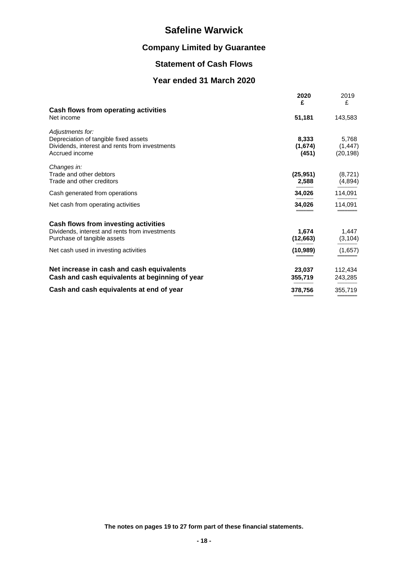# **Company Limited by Guarantee**

## **Statement of Cash Flows**

## **Year ended 31 March 2020**

|                                                | 2020<br>£ | 2019<br>£ |
|------------------------------------------------|-----------|-----------|
| Cash flows from operating activities           |           |           |
| Net income                                     | 51,181    | 143,583   |
| Adjustments for:                               |           |           |
| Depreciation of tangible fixed assets          | 8,333     | 5,768     |
| Dividends, interest and rents from investments | (1,674)   | (1, 447)  |
| Accrued income                                 | (451)     | (20, 198) |
| Changes in:                                    |           |           |
| Trade and other debtors                        | (25, 951) | (8, 721)  |
| Trade and other creditors                      | 2,588     | (4,894)   |
| Cash generated from operations                 | 34,026    | 114,091   |
| Net cash from operating activities             | 34,026    | 114,091   |
| Cash flows from investing activities           |           |           |
| Dividends, interest and rents from investments | 1.674     | 1,447     |
| Purchase of tangible assets                    | (12, 663) | (3, 104)  |
| Net cash used in investing activities          | (10, 989) | (1,657)   |
| Net increase in cash and cash equivalents      | 23,037    | 112,434   |
| Cash and cash equivalents at beginning of year | 355,719   | 243,285   |
|                                                |           |           |
| Cash and cash equivalents at end of year       | 378,756   | 355,719   |

**The notes on pages 19 to 27 form part of these financial statements.**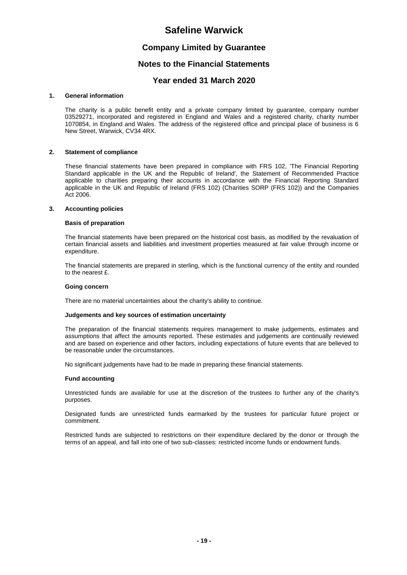#### **Company Limited by Guarantee**

#### **Notes to the Financial Statements**

#### **Year ended 31 March 2020**

#### **1. General information**

The charity is a public benefit entity and a private company limited by guarantee, company number 03529271, incorporated and registered in England and Wales and a registered charity, charity number 1070854, in England and Wales. The address of the registered office and principal place of business is 6 New Street, Warwick, CV34 4RX.

#### **2. Statement of compliance**

These financial statements have been prepared in compliance with FRS 102, 'The Financial Reporting Standard applicable in the UK and the Republic of Ireland', the Statement of Recommended Practice applicable to charities preparing their accounts in accordance with the Financial Reporting Standard applicable in the UK and Republic of Ireland (FRS 102) (Charities SORP (FRS 102)) and the Companies Act 2006.

#### **3. Accounting policies**

#### **Basis of preparation**

The financial statements have been prepared on the historical cost basis, as modified by the revaluation of certain financial assets and liabilities and investment properties measured at fair value through income or expenditure.

The financial statements are prepared in sterling, which is the functional currency of the entity and rounded to the nearest £.

#### **Going concern**

There are no material uncertainties about the charity's ability to continue.

#### **Judgements and key sources of estimation uncertainty**

The preparation of the financial statements requires management to make judgements, estimates and assumptions that affect the amounts reported. These estimates and judgements are continually reviewed and are based on experience and other factors, including expectations of future events that are believed to be reasonable under the circumstances.

No significant judgements have had to be made in preparing these financial statements.

#### **Fund accounting**

Unrestricted funds are available for use at the discretion of the trustees to further any of the charity's purposes.

Designated funds are unrestricted funds earmarked by the trustees for particular future project or commitment.

Restricted funds are subjected to restrictions on their expenditure declared by the donor or through the terms of an appeal, and fall into one of two sub-classes: restricted income funds or endowment funds.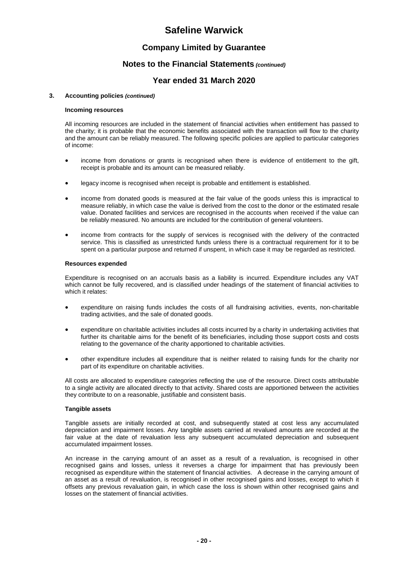### **Company Limited by Guarantee**

#### **Notes to the Financial Statements** *(continued)*

### **Year ended 31 March 2020**

#### **3. Accounting policies** *(continued)*

#### **Incoming resources**

All incoming resources are included in the statement of financial activities when entitlement has passed to the charity; it is probable that the economic benefits associated with the transaction will flow to the charity and the amount can be reliably measured. The following specific policies are applied to particular categories of income:

- income from donations or grants is recognised when there is evidence of entitlement to the gift, receipt is probable and its amount can be measured reliably.
- legacy income is recognised when receipt is probable and entitlement is established.
- income from donated goods is measured at the fair value of the goods unless this is impractical to measure reliably, in which case the value is derived from the cost to the donor or the estimated resale value. Donated facilities and services are recognised in the accounts when received if the value can be reliably measured. No amounts are included for the contribution of general volunteers.
- income from contracts for the supply of services is recognised with the delivery of the contracted service. This is classified as unrestricted funds unless there is a contractual requirement for it to be spent on a particular purpose and returned if unspent, in which case it may be regarded as restricted.

#### **Resources expended**

Expenditure is recognised on an accruals basis as a liability is incurred. Expenditure includes any VAT which cannot be fully recovered, and is classified under headings of the statement of financial activities to which it relates:

- expenditure on raising funds includes the costs of all fundraising activities, events, non-charitable trading activities, and the sale of donated goods.
- expenditure on charitable activities includes all costs incurred by a charity in undertaking activities that further its charitable aims for the benefit of its beneficiaries, including those support costs and costs relating to the governance of the charity apportioned to charitable activities.
- other expenditure includes all expenditure that is neither related to raising funds for the charity nor part of its expenditure on charitable activities.

All costs are allocated to expenditure categories reflecting the use of the resource. Direct costs attributable to a single activity are allocated directly to that activity. Shared costs are apportioned between the activities they contribute to on a reasonable, justifiable and consistent basis.

#### **Tangible assets**

Tangible assets are initially recorded at cost, and subsequently stated at cost less any accumulated depreciation and impairment losses. Any tangible assets carried at revalued amounts are recorded at the fair value at the date of revaluation less any subsequent accumulated depreciation and subsequent accumulated impairment losses.

An increase in the carrying amount of an asset as a result of a revaluation, is recognised in other recognised gains and losses, unless it reverses a charge for impairment that has previously been recognised as expenditure within the statement of financial activities. A decrease in the carrying amount of an asset as a result of revaluation, is recognised in other recognised gains and losses, except to which it offsets any previous revaluation gain, in which case the loss is shown within other recognised gains and losses on the statement of financial activities.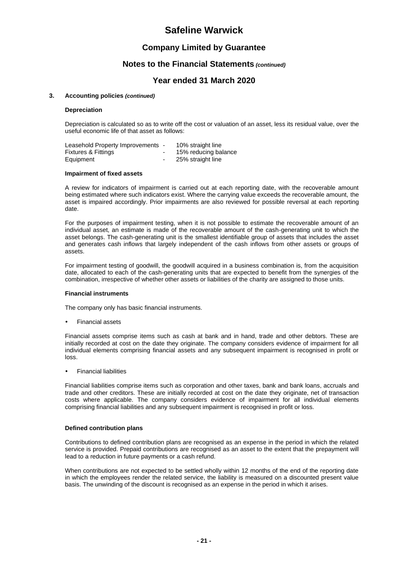### **Company Limited by Guarantee**

#### **Notes to the Financial Statements** *(continued)*

### **Year ended 31 March 2020**

#### **3. Accounting policies** *(continued)*

#### **Depreciation**

Depreciation is calculated so as to write off the cost or valuation of an asset, less its residual value, over the useful economic life of that asset as follows:

| Leasehold Property Improvements - |                          | 10% straight line    |
|-----------------------------------|--------------------------|----------------------|
| <b>Fixtures &amp; Fittings</b>    |                          | 15% reducing balance |
| Equipment                         | $\overline{\phantom{a}}$ | 25% straight line    |

#### **Impairment of fixed assets**

A review for indicators of impairment is carried out at each reporting date, with the recoverable amount being estimated where such indicators exist. Where the carrying value exceeds the recoverable amount, the asset is impaired accordingly. Prior impairments are also reviewed for possible reversal at each reporting date.

For the purposes of impairment testing, when it is not possible to estimate the recoverable amount of an individual asset, an estimate is made of the recoverable amount of the cash-generating unit to which the asset belongs. The cash-generating unit is the smallest identifiable group of assets that includes the asset and generates cash inflows that largely independent of the cash inflows from other assets or groups of assets.

For impairment testing of goodwill, the goodwill acquired in a business combination is, from the acquisition date, allocated to each of the cash-generating units that are expected to benefit from the synergies of the combination, irrespective of whether other assets or liabilities of the charity are assigned to those units.

#### **Financial instruments**

The company only has basic financial instruments.

Financial assets

Financial assets comprise items such as cash at bank and in hand, trade and other debtors. These are initially recorded at cost on the date they originate. The company considers evidence of impairment for all individual elements comprising financial assets and any subsequent impairment is recognised in profit or loss.

Financial liabilities

Financial liabilities comprise items such as corporation and other taxes, bank and bank loans, accruals and trade and other creditors. These are initially recorded at cost on the date they originate, net of transaction costs where applicable. The company considers evidence of impairment for all individual elements comprising financial liabilities and any subsequent impairment is recognised in profit or loss.

#### **Defined contribution plans**

Contributions to defined contribution plans are recognised as an expense in the period in which the related service is provided. Prepaid contributions are recognised as an asset to the extent that the prepayment will lead to a reduction in future payments or a cash refund.

When contributions are not expected to be settled wholly within 12 months of the end of the reporting date in which the employees render the related service, the liability is measured on a discounted present value basis. The unwinding of the discount is recognised as an expense in the period in which it arises.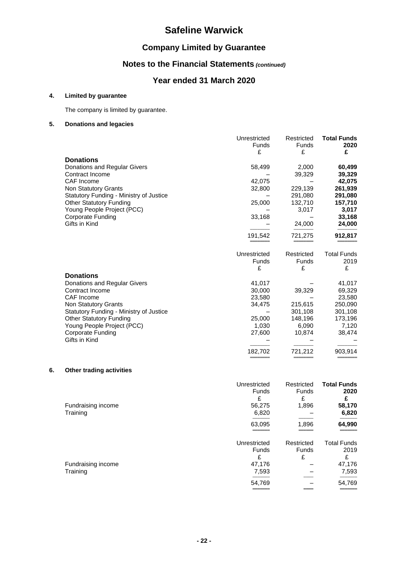## **Company Limited by Guarantee**

## **Notes to the Financial Statements** *(continued)*

## **Year ended 31 March 2020**

#### **4. Limited by guarantee**

The company is limited by guarantee.

#### **5. Donations and legacies**

|                                         | Unrestricted<br><b>Funds</b><br>£ | Restricted<br><b>Funds</b><br>£ | <b>Total Funds</b><br>2020<br>£ |
|-----------------------------------------|-----------------------------------|---------------------------------|---------------------------------|
| <b>Donations</b>                        |                                   |                                 |                                 |
| Donations and Regular Givers            | 58,499                            | 2,000                           | 60,499                          |
| Contract Income                         |                                   | 39,329                          | 39,329                          |
| CAF Income                              | 42,075                            |                                 | 42,075                          |
| Non Statutory Grants                    | 32,800                            | 229,139                         | 261,939                         |
| Statutory Funding - Ministry of Justice |                                   | 291,080                         | 291,080                         |
| <b>Other Statutory Funding</b>          | 25,000                            | 132,710                         | 157,710                         |
| Young People Project (PCC)              |                                   | 3,017                           | 3,017                           |
| <b>Corporate Funding</b>                | 33,168                            |                                 | 33,168                          |
| Gifts in Kind                           |                                   | 24,000                          | 24,000                          |
|                                         | 191,542                           | 721,275                         | 912,817                         |
|                                         | Unrestricted                      | Restricted                      | <b>Total Funds</b>              |
|                                         | Funds                             | Funds                           | 2019                            |
|                                         | £                                 | £                               | £                               |
| <b>Donations</b>                        |                                   |                                 |                                 |
| Donations and Regular Givers            | 41,017                            |                                 | 41,017                          |
| Contract Income                         | 30,000                            | 39,329                          | 69,329                          |
| <b>CAF</b> Income                       | 23,580                            |                                 | 23,580                          |
| Non Statutory Grants                    | 34,475                            | 215,615                         | 250,090                         |
| Statutory Funding - Ministry of Justice |                                   | 301,108                         | 301,108                         |
| <b>Other Statutory Funding</b>          | 25,000                            | 148,196                         | 173,196                         |
| Young People Project (PCC)              | 1,030                             | 6,090                           | 7,120                           |
| <b>Corporate Funding</b>                | 27,600                            | 10,874                          | 38,474                          |
| Gifts in Kind                           |                                   |                                 |                                 |
|                                         | 182,702                           | 721,212                         | 903,914                         |
|                                         |                                   |                                 |                                 |

#### **6. Other trading activities**

| Fundraising income<br>Training | Unrestricted<br><b>Funds</b><br>£<br>56,275<br>6,820<br>63,095 | Restricted<br>Funds<br>£<br>1,896<br>1,896 | <b>Total Funds</b><br>2020<br>£<br>58,170<br>6,820<br>64,990 |
|--------------------------------|----------------------------------------------------------------|--------------------------------------------|--------------------------------------------------------------|
| Fundraising income<br>Training | Unrestricted<br><b>Funds</b><br>£<br>47,176<br>7,593           | Restricted<br><b>Funds</b><br>£            | <b>Total Funds</b><br>2019<br>£<br>47,176<br>7,593           |
|                                | 54,769                                                         |                                            | 54,769                                                       |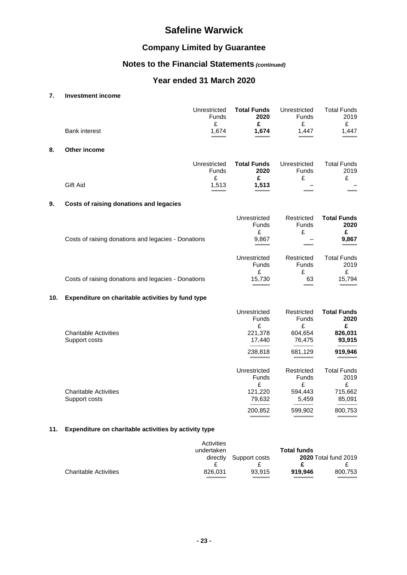## **Company Limited by Guarantee**

## **Notes to the Financial Statements** *(continued)*

## **Year ended 31 March 2020**

### **7. Investment income**

|     | <b>Bank interest</b>                                | Unrestricted<br><b>Funds</b><br>£<br>1,674 | <b>Total Funds</b><br>2020<br>£<br>1,674               | Unrestricted<br><b>Funds</b><br>£<br>1,447           | <b>Total Funds</b><br>2019<br>£<br>1,447             |
|-----|-----------------------------------------------------|--------------------------------------------|--------------------------------------------------------|------------------------------------------------------|------------------------------------------------------|
| 8.  | Other income                                        |                                            |                                                        |                                                      |                                                      |
|     | Gift Aid                                            | Unrestricted<br>Funds<br>£<br>1,513        | <b>Total Funds</b><br>2020<br>£<br>1,513               | Unrestricted<br><b>Funds</b><br>£                    | <b>Total Funds</b><br>2019<br>£                      |
|     |                                                     |                                            |                                                        |                                                      |                                                      |
| 9.  | Costs of raising donations and legacies             |                                            |                                                        |                                                      |                                                      |
|     | Costs of raising donations and legacies - Donations |                                            | Unrestricted<br><b>Funds</b><br>£<br>9,867             | Restricted<br>Funds<br>£                             | <b>Total Funds</b><br>2020<br>£<br>9,867             |
|     |                                                     |                                            | Unrestricted<br><b>Funds</b><br>£                      | Restricted<br><b>Funds</b><br>£                      | <b>Total Funds</b><br>2019<br>£                      |
|     | Costs of raising donations and legacies - Donations |                                            | 15,730                                                 | 63                                                   | 15,794                                               |
| 10. | Expenditure on charitable activities by fund type   |                                            |                                                        |                                                      |                                                      |
|     | <b>Charitable Activities</b><br>Support costs       |                                            | Unrestricted<br><b>Funds</b><br>£<br>221,378<br>17,440 | Restricted<br><b>Funds</b><br>£<br>604,654<br>76,475 | <b>Total Funds</b><br>2020<br>£<br>826,031<br>93,915 |
|     |                                                     |                                            | 238,818                                                | 681,129                                              | 919,946                                              |
|     |                                                     |                                            | Unrestricted<br>Funds                                  | Restricted<br>Funds                                  | <b>Total Funds</b><br>2019                           |

|                              |         |         | -       |
|------------------------------|---------|---------|---------|
| <b>Charitable Activities</b> | 121.220 | 594.443 | 715.662 |
| Support costs                | 79.632  | 5.459   | 85.091  |
|                              |         |         |         |

200,852 599,902 800,753 ════════ ════════ ════════

#### **11. Expenditure on charitable activities by activity type**

|                              | Activities<br>undertaken |               | <b>Total funds</b> |                             |
|------------------------------|--------------------------|---------------|--------------------|-----------------------------|
|                              | directly                 | Support costs |                    | <b>2020</b> Total fund 2019 |
|                              |                          |               |                    |                             |
| <b>Charitable Activities</b> | 826.031                  | 93.915        | 919.946            | 800.753                     |
|                              |                          |               |                    |                             |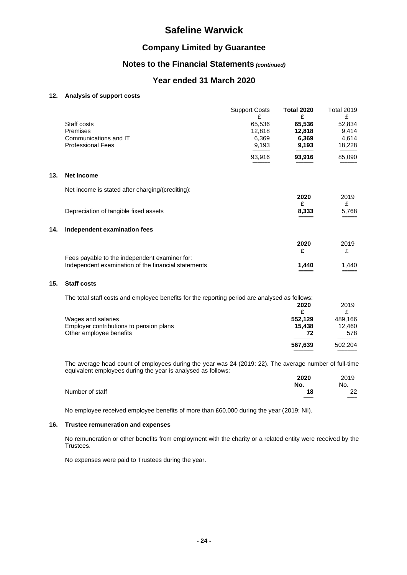## **Company Limited by Guarantee**

## **Notes to the Financial Statements** *(continued)*

### **Year ended 31 March 2020**

### **12. Analysis of support costs**

|     |                                                     | <b>Support Costs</b><br>£ | <b>Total 2020</b><br>£ | <b>Total 2019</b><br>£ |
|-----|-----------------------------------------------------|---------------------------|------------------------|------------------------|
|     | Staff costs                                         | 65,536                    | 65,536                 | 52,834                 |
|     | Premises                                            | 12,818                    | 12,818                 | 9,414                  |
|     | Communications and IT                               | 6,369                     | 6,369                  | 4,614                  |
|     | <b>Professional Fees</b>                            | 9,193                     | 9,193                  | 18,228                 |
|     |                                                     | 93,916                    | 93,916                 | 85,090                 |
| 13. | Net income                                          |                           |                        |                        |
|     | Net income is stated after charging/(crediting):    |                           | 2020                   | 2019                   |
|     |                                                     |                           | £                      | £                      |
|     | Depreciation of tangible fixed assets               |                           | 8,333                  | 5,768                  |
| 14. | Independent examination fees                        |                           |                        |                        |
|     |                                                     |                           | 2020                   | 2019                   |
|     |                                                     |                           | £                      | £                      |
|     | Fees payable to the independent examiner for:       |                           |                        |                        |
|     | Independent examination of the financial statements |                           | 1,440                  | 1,440                  |
| 15. | <b>Staff costs</b>                                  |                           |                        |                        |

| The total staff costs and employee benefits for the reporting period are analysed as follows: |         |         |
|-----------------------------------------------------------------------------------------------|---------|---------|
|                                                                                               | 2020    | 2019    |
|                                                                                               |         |         |
| Wages and salaries                                                                            | 552.129 | 489.166 |
| Employer contributions to pension plans                                                       | 15.438  | 12.460  |
| Other employee benefits                                                                       | 72      | 578     |
|                                                                                               | 567.639 | 502.204 |
|                                                                                               |         |         |

The average head count of employees during the year was 24 (2019: 22). The average number of full-time equivalent employees during the year is analysed as follows:

|                 | 2020 | 2019 |
|-----------------|------|------|
|                 | No.  | No.  |
| Number of staff | 18   | 22   |
|                 | ___  | ___  |

No employee received employee benefits of more than £60,000 during the year (2019: Nil).

#### **16. Trustee remuneration and expenses**

No remuneration or other benefits from employment with the charity or a related entity were received by the Trustees.

No expenses were paid to Trustees during the year.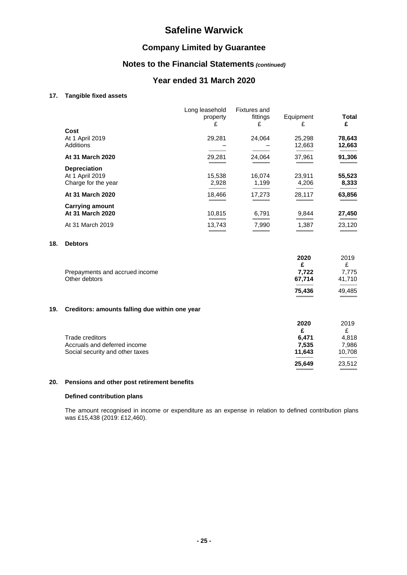## **Company Limited by Guarantee**

## **Notes to the Financial Statements** *(continued)*

## **Year ended 31 March 2020**

#### **17. Tangible fixed assets**

**18. Debtors**

|                                                               | Long leasehold<br>property      | <b>Fixtures</b> and<br>fittings                     | Equipment                              | <b>Total</b><br>£                      |
|---------------------------------------------------------------|---------------------------------|-----------------------------------------------------|----------------------------------------|----------------------------------------|
| Cost<br>At 1 April 2019<br>Additions                          | 29,281                          | 24,064                                              | 25,298<br>12,663                       | 78,643<br>12,663                       |
| At 31 March 2020                                              | 29,281                          | 24,064                                              | 37,961                                 | 91,306                                 |
| <b>Depreciation</b><br>At 1 April 2019<br>Charge for the year | 15,538<br>2,928                 | 16,074<br>1,199                                     | 23,911<br>4,206                        | 55,523<br>8,333                        |
| At 31 March 2020                                              | 18,466                          | 17,273                                              | 28,117                                 | 63,856                                 |
| <b>Carrying amount</b><br>At 31 March 2020                    | 10,815                          | 6,791                                               | 9,844                                  | 27,450                                 |
| At 31 March 2019                                              | 13,743                          | 7,990                                               | 1,387                                  | 23,120                                 |
| <b>Debtors</b>                                                |                                 |                                                     |                                        |                                        |
| Prepayments and accrued income<br>Other debtors               |                                 |                                                     | 2020<br>£<br>7,722<br>67,714<br>75,436 | 2019<br>£<br>7,775<br>41,710<br>49,485 |
|                                                               |                                 |                                                     |                                        |                                        |
| <b>Trade creditors</b><br>Accruals and deferred income        |                                 |                                                     | 2020<br>£<br>6,471<br>7,535            | 2019<br>£<br>4,818<br>7,986<br>10,708  |
|                                                               | Social security and other taxes | £<br>Creditors: amounts falling due within one year | £                                      | £<br>11,643                            |

#### **20. Pensions and other post retirement benefits**

#### **Defined contribution plans**

The amount recognised in income or expenditure as an expense in relation to defined contribution plans was £15,438 (2019: £12,460).

**25,649** 23,512 ═══════════════════════════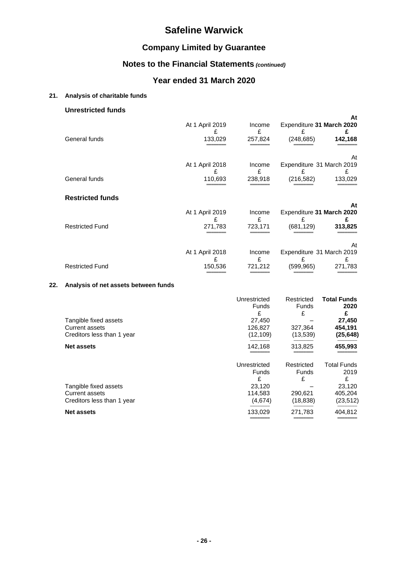## **Company Limited by Guarantee**

# **Notes to the Financial Statements** *(continued)*

## **Year ended 31 March 2020**

#### **21. Analysis of charitable funds**

#### **Unrestricted funds**

|                         | At 1 April 2019                 | Income<br>£            | Expenditure 31 March 2020<br>£               | At<br>£            |
|-------------------------|---------------------------------|------------------------|----------------------------------------------|--------------------|
| General funds           | 133,029                         | 257,824                | (248, 685)                                   | 142,168            |
| General funds           | At 1 April 2018<br>£<br>110,693 | Income<br>£<br>238,918 | Expenditure 31 March 2019<br>£<br>(216, 582) | At<br>£<br>133,029 |
| <b>Restricted funds</b> |                                 |                        |                                              |                    |
|                         |                                 |                        |                                              | At                 |
|                         | At 1 April 2019<br>£            | Income<br>£            | Expenditure 31 March 2020<br>£               |                    |
| <b>Restricted Fund</b>  | 271,783                         | 723,171                | (681, 129)                                   | 313,825            |
|                         |                                 |                        |                                              | At                 |
|                         | At 1 April 2018                 | Income<br>£            | Expenditure 31 March 2019<br>£               | £                  |
| <b>Restricted Fund</b>  | 150,536                         | 721,212                | (599, 965)                                   | 271,783            |

#### **22. Analysis of net assets between funds**

|                            | Unrestricted | Restricted   | <b>Total Funds</b> |
|----------------------------|--------------|--------------|--------------------|
|                            | Funds        | <b>Funds</b> | 2020               |
|                            | £            | £            | £                  |
| Tangible fixed assets      | 27,450       |              | 27,450             |
| Current assets             | 126,827      | 327,364      | 454,191            |
| Creditors less than 1 year | (12, 109)    | (13,539)     | (25, 648)          |
| <b>Net assets</b>          | 142,168      | 313,825      | 455,993            |
|                            | Unrestricted | Restricted   | <b>Total Funds</b> |
|                            | Funds        | <b>Funds</b> | 2019               |
|                            | £            | £            | £                  |
| Tangible fixed assets      | 23.120       |              | 23,120             |
| <b>Current assets</b>      | 114,583      | 290,621      | 405,204            |
| Creditors less than 1 year | (4,674)      | (18, 838)    | (23, 512)          |
| <b>Net assets</b>          | 133,029      | 271,783      | 404,812            |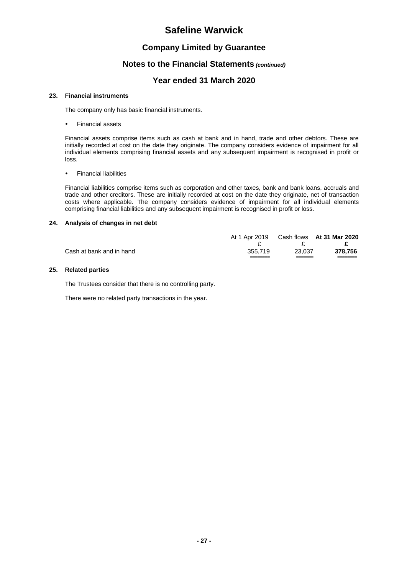### **Company Limited by Guarantee**

#### **Notes to the Financial Statements** *(continued)*

### **Year ended 31 March 2020**

#### **23. Financial instruments**

The company only has basic financial instruments.

Financial assets

Financial assets comprise items such as cash at bank and in hand, trade and other debtors. These are initially recorded at cost on the date they originate. The company considers evidence of impairment for all individual elements comprising financial assets and any subsequent impairment is recognised in profit or loss.

Financial liabilities

Financial liabilities comprise items such as corporation and other taxes, bank and bank loans, accruals and trade and other creditors. These are initially recorded at cost on the date they originate, net of transaction costs where applicable. The company considers evidence of impairment for all individual elements comprising financial liabilities and any subsequent impairment is recognised in profit or loss.

#### **24. Analysis of changes in net debt**

|                          |         |              | At 1 Apr 2019 Cash flows At 31 Mar 2020 |
|--------------------------|---------|--------------|-----------------------------------------|
|                          |         | $\mathbf{F}$ | – <del>P</del> –                        |
| Cash at bank and in hand | 355,719 | 23.037       | 378.756                                 |
|                          |         |              |                                         |

#### **25. Related parties**

The Trustees consider that there is no controlling party.

There were no related party transactions in the year.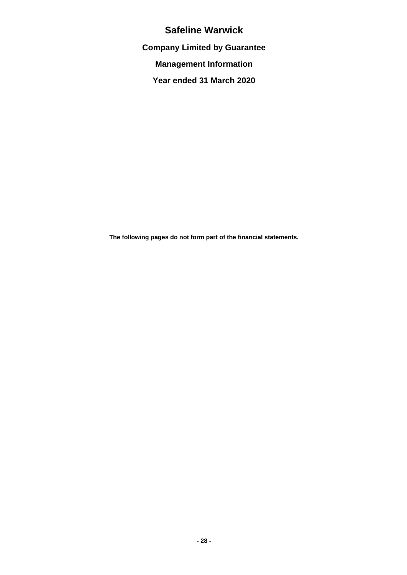**Company Limited by Guarantee**

**Management Information**

**Year ended 31 March 2020**

**The following pages do not form part of the financial statements.**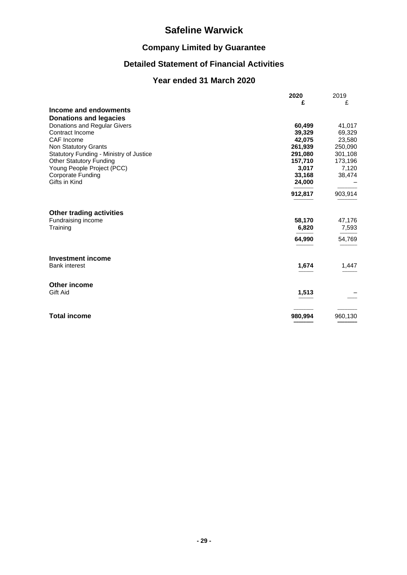# **Company Limited by Guarantee**

# **Detailed Statement of Financial Activities**

# **Year ended 31 March 2020**

|                                         | 2020    | 2019    |
|-----------------------------------------|---------|---------|
|                                         | £       | £       |
| Income and endowments                   |         |         |
| <b>Donations and legacies</b>           |         |         |
| Donations and Regular Givers            | 60,499  | 41,017  |
| Contract Income                         | 39,329  | 69,329  |
| CAF Income                              | 42,075  | 23,580  |
| Non Statutory Grants                    | 261,939 | 250,090 |
| Statutory Funding - Ministry of Justice | 291,080 | 301,108 |
| <b>Other Statutory Funding</b>          | 157,710 | 173,196 |
| Young People Project (PCC)              | 3,017   | 7,120   |
| <b>Corporate Funding</b>                | 33,168  | 38,474  |
| Gifts in Kind                           | 24,000  |         |
|                                         | 912,817 | 903,914 |
| <b>Other trading activities</b>         |         |         |
| Fundraising income                      | 58,170  | 47,176  |
| Training                                | 6,820   | 7,593   |
|                                         | 64,990  | 54,769  |
| <b>Investment income</b>                |         |         |
| <b>Bank interest</b>                    | 1,674   | 1,447   |
| Other income                            |         |         |
| Gift Aid                                | 1,513   |         |
| <b>Total income</b>                     | 980,994 | 960,130 |
|                                         |         |         |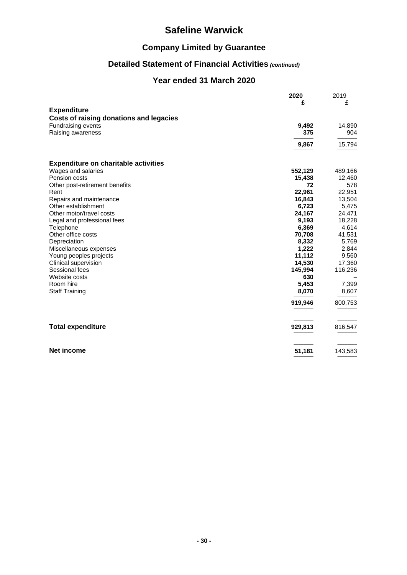# **Company Limited by Guarantee**

# **Detailed Statement of Financial Activities** *(continued)*

## **Year ended 31 March 2020**

|                                             | 2020    | 2019    |
|---------------------------------------------|---------|---------|
|                                             | £       | £       |
| <b>Expenditure</b>                          |         |         |
| Costs of raising donations and legacies     |         |         |
| <b>Fundraising events</b>                   | 9,492   | 14,890  |
| Raising awareness                           | 375     | 904     |
|                                             |         |         |
|                                             | 9,867   | 15,794  |
| <b>Expenditure on charitable activities</b> |         |         |
| Wages and salaries                          | 552,129 | 489,166 |
| Pension costs                               | 15,438  | 12,460  |
| Other post-retirement benefits              | 72      | 578     |
| Rent                                        | 22,961  | 22,951  |
| Repairs and maintenance                     | 16,843  | 13,504  |
| Other establishment                         | 6,723   | 5,475   |
| Other motor/travel costs                    | 24,167  | 24,471  |
| Legal and professional fees                 | 9,193   | 18,228  |
| Telephone                                   | 6,369   | 4,614   |
| Other office costs                          | 70,708  | 41,531  |
| Depreciation                                | 8,332   | 5,769   |
| Miscellaneous expenses                      | 1,222   | 2,844   |
| Young peoples projects                      | 11,112  | 9,560   |
| Clinical supervision                        | 14,530  | 17,360  |
| Sessional fees                              | 145,994 | 116,236 |
| Website costs                               | 630     |         |
| Room hire                                   | 5,453   | 7,399   |
| <b>Staff Training</b>                       | 8,070   | 8,607   |
|                                             | 919,946 | 800,753 |
|                                             |         |         |
| <b>Total expenditure</b>                    | 929,813 | 816,547 |
| <b>Net income</b>                           | 51,181  | 143,583 |
|                                             |         |         |